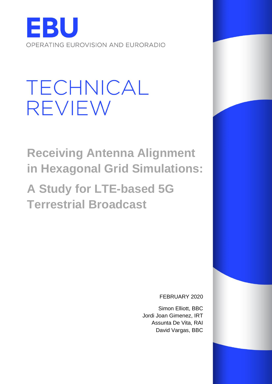

# **TECHNICAL** REVIEW

**Receiving Antenna Alignment in Hexagonal Grid Simulations:**

**A Study for LTE-based 5G Terrestrial Broadcast**

FEBRUARY 2020

Simon Elliott, BBC Jordi Joan Gimenez, IRT Assunta De Vita, RAI David Vargas, BBC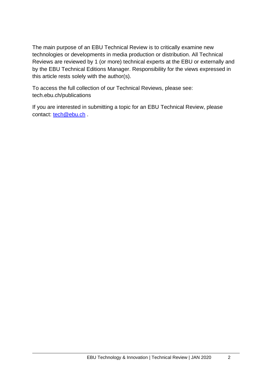The main purpose of an EBU Technical Review is to critically examine new technologies or developments in media production or distribution. All Technical Reviews are reviewed by 1 (or more) technical experts at the EBU or externally and by the EBU Technical Editions Manager. Responsibility for the views expressed in this article rests solely with the author(s).

To access the full collection of our Technical Reviews, please see: tech.ebu.ch/publications

If you are interested in submitting a topic for an EBU Technical Review, please contact: [tech@ebu.ch](mailto:tech@ebu.ch)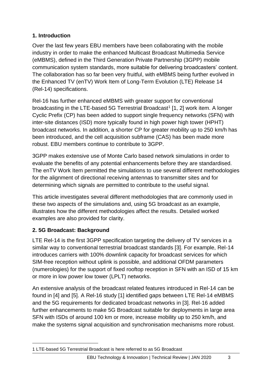## **1. Introduction**

Over the last few years EBU members have been collaborating with the mobile industry in order to make the enhanced Multicast Broadcast Multimedia Service (eMBMS), defined in the Third Generation Private Partnership (3GPP) mobile communication system standards, more suitable for delivering broadcasters' content. The collaboration has so far been very fruitful, with eMBMS being further evolved in the Enhanced TV (enTV) Work Item of Long-Term Evolution (LTE) Release 14 (Rel-14) specifications.

Rel-16 has further enhanced eMBMS with greater support for conventional broadcasting in the LTE-based 5G Terrestrial Broadcast<sup>1</sup> [1, 2] work item. A longer Cyclic Prefix (CP) has been added to support single frequency networks (SFN) with inter-site distances (ISD) more typically found in high power high tower (HPHT) broadcast networks. In addition, a shorter CP for greater mobility up to 250 km/h has been introduced, and the cell acquisition subframe (CAS) has been made more robust. EBU members continue to contribute to 3GPP.

3GPP makes extensive use of Monte Carlo based network simulations in order to evaluate the benefits of any potential enhancements before they are standardised. The enTV Work Item permitted the simulations to use several different methodologies for the alignment of directional receiving antennas to transmitter sites and for determining which signals are permitted to contribute to the useful signal.

This article investigates several different methodologies that are commonly used in these two aspects of the simulations and, using 5G broadcast as an example, illustrates how the different methodologies affect the results. Detailed worked examples are also provided for clarity.

## **2. 5G Broadcast: Background**

LTE Rel-14 is the first 3GPP specification targeting the delivery of TV services in a similar way to conventional terrestrial broadcast standards [3]. For example, Rel-14 introduces carriers with 100% downlink capacity for broadcast services for which SIM-free reception without uplink is possible, and additional OFDM parameters (numerologies) for the support of fixed rooftop reception in SFN with an ISD of 15 km or more in low power low tower (LPLT) networks.

An extensive analysis of the broadcast related features introduced in Rel-14 can be found in [4] and [5]. A Rel-16 study [1] identified gaps between LTE Rel-14 eMBMS and the 5G requirements for dedicated broadcast networks in [3]. Rel-16 added further enhancements to make 5G Broadcast suitable for deployments in large area SFN with ISDs of around 100 km or more, increase mobility up to 250 km/h, and make the systems signal acquisition and synchronisation mechanisms more robust.

<sup>1</sup> LTE-based 5G Terrestrial Broadcast is here referred to as 5G Broadcast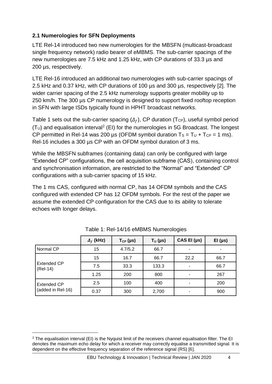#### **2.1 Numerologies for SFN Deployments**

LTE Rel-14 introduced two new numerologies for the MBSFN (multicast-broadcast single frequency network) radio bearer of eMBMS. The sub-carrier spacings of the new numerologies are 7.5 kHz and 1.25 kHz, with CP durations of 33.3 µs and 200 µs, respectively.

LTE Rel-16 introduced an additional two numerologies with sub-carrier spacings of 2.5 kHz and 0.37 kHz, with CP durations of 100 µs and 300 µs, respectively [2]. The wider carrier spacing of the 2.5 kHz numerology supports greater mobility up to 250 km/h. The 300 µs CP numerology is designed to support fixed rooftop reception in SFN with large ISDs typically found in HPHT broadcast networks.

Table 1 sets out the sub-carrier spacing  $(\Delta_f)$ , CP duration (T<sub>CP</sub>), useful symbol period  $(T_U)$  and equalisation interval<sup>2</sup> (EI) for the numerologies in 5G Broadcast. The longest CP permitted in Rel-14 was 200 µs (OFDM symbol duration  $T_s = T_U + T_{CP} = 1$  ms). Rel-16 includes a 300 µs CP with an OFDM symbol duration of 3 ms.

While the MBSFN subframes (containing data) can only be configured with large "Extended CP" configurations, the cell acquisition subframe (CAS), containing control and synchronisation information, are restricted to the "Normal" and "Extended" CP configurations with a sub-carrier spacing of 15 kHz.

The 1 ms CAS, configured with normal CP, has 14 OFDM symbols and the CAS configured with extended CP has 12 OFDM symbols. For the rest of the paper we assume the extended CP configuration for the CAS due to its ability to tolerate echoes with longer delays.

|                                | $\Delta_f$ (kHz) | $T_{CP}$ (µs) | $T_U$ (µs) | $CAS$ El ( $\mu s$ )     | EI (µs) |
|--------------------------------|------------------|---------------|------------|--------------------------|---------|
| Normal CP                      | 15               | 4.7/5.2       | 66.7       | ۰                        |         |
|                                | 15               | 16.7          | 66.7       | 22.2                     | 66.7    |
| <b>Extended CP</b><br>(Rel-14) | 7.5              | 33.3          | 133.3      | $\overline{\phantom{a}}$ | 66.7    |
|                                | 1.25             | 200           | 800        |                          | 267     |
| <b>Extended CP</b>             | 2.5              | 100           | 400        | ٠                        | 200     |
| (added in Rel-16)              | 0.37             | 300           | 2,700      |                          | 900     |

| Table 1: Rel-14/16 eMBMS Numerologies |  |  |
|---------------------------------------|--|--|
|                                       |  |  |

 $2$  The equalisation interval (EI) is the Nyquist limit of the receivers channel equalisation filter. The EI denotes the maximum echo delay for which a receiver may correctly equalise a transmitted signal. It is dependent on the effective frequency separation of the reference signal (RS) [6].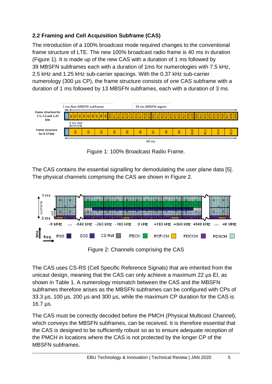## **2.2 Framing and Cell Acquisition Subframe (CAS)**

The introduction of a 100% broadcast mode required changes to the conventional frame structure of LTE. The new 100% broadcast radio frame is 40 ms in duration (Figure 1). It is made up of the new CAS with a duration of 1 ms followed by 39 MBSFN subframes each with a duration of 1ms for numerologies with 7.5 kHz, 2.5 kHz and 1.25 kHz sub-carrier spacings. With the 0.37 kHz sub-carrier numerology (300 µs CP), the frame structure consists of one CAS subframe with a duration of 1 ms followed by 13 MBSFN subframes, each with a duration of 3 ms.



Figure 1: 100% Broadcast Radio Frame.

The CAS contains the essential signalling for demodulating the user plane data [5]. The physical channels comprising the CAS are shown in Figure 2.



Figure 2: Channels comprising the CAS

The CAS uses CS-RS (Cell Specific Reference Signals) that are inherited from the unicast design, meaning that the CAS can only achieve a maximum 22 µs EI, as shown in Table 1. A numerology mismatch between the CAS and the MBSFN subframes therefore arises as the MBSFN subframes can be configured with CPs of 33.3 µs, 100 µs, 200 µs and 300 µs, while the maximum CP duration for the CAS is 16.7 µs.

The CAS must be correctly decoded before the PMCH (Physical Multicast Channel), which conveys the MBSFN subframes, can be received. It is therefore essential that the CAS is designed to be sufficiently robust so as to ensure adequate reception of the PMCH in locations where the CAS is not protected by the longer CP of the MBSFN subframes.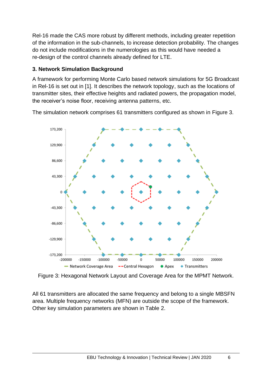Rel-16 made the CAS more robust by different methods, including greater repetition of the information in the sub-channels, to increase detection probability. The changes do not include modifications in the numerologies as this would have needed a re-design of the control channels already defined for LTE.

#### **3. Network Simulation Background**

A framework for performing Monte Carlo based network simulations for 5G Broadcast in Rel-16 is set out in [1]. It describes the network topology, such as the locations of transmitter sites, their effective heights and radiated powers, the propagation model, the receiver's noise floor, receiving antenna patterns, etc.

The simulation network comprises 61 transmitters configured as shown in Figure 3.



Figure 3: Hexagonal Network Layout and Coverage Area for the MPMT Network.

All 61 transmitters are allocated the same frequency and belong to a single MBSFN area. Multiple frequency networks (MFN) are outside the scope of the framework. Other key simulation parameters are shown in Table 2.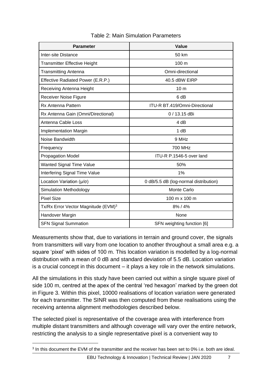| <b>Parameter</b>                                | <b>Value</b>                          |
|-------------------------------------------------|---------------------------------------|
| <b>Inter-site Distance</b>                      | 50 km                                 |
| <b>Transmitter Effective Height</b>             | 100 m                                 |
| <b>Transmitting Antenna</b>                     | Omni-directional                      |
| Effective Radiated Power (E.R.P.)               | 40.5 dBW EIRP                         |
| Receiving Antenna Height                        | 10 <sub>m</sub>                       |
| Receiver Noise Figure                           | 6 dB                                  |
| <b>Rx Antenna Pattern</b>                       | ITU-R BT.419/Omni-Directional         |
| Rx Antenna Gain (Omni/Directional)              | $0/13.15$ dBi                         |
| Antenna Cable Loss                              | 4 dB                                  |
| <b>Implementation Margin</b>                    | 1 dB                                  |
| Noise Bandwidth                                 | 9 MHz                                 |
| Frequency                                       | 700 MHz                               |
| <b>Propagation Model</b>                        | ITU-R P.1546-5 over land              |
| <b>Wanted Signal Time Value</b>                 | 50%                                   |
| Interfering Signal Time Value                   | 1%                                    |
| Location Variation $(\mu/\sigma)$               | 0 dB/5.5 dB (log-normal distribution) |
| Simulation Methodology                          | <b>Monte Carlo</b>                    |
| <b>Pixel Size</b>                               | 100 m x 100 m                         |
| Tx/Rx Error Vector Magnitude (EVM) <sup>3</sup> | 8%/4%                                 |
| Handover Margin                                 | None                                  |
| <b>SFN Signal Summation</b>                     | SFN weighting function [6]            |

#### Table 2: Main Simulation Parameters

Measurements show that, due to variations in terrain and ground cover, the signals from transmitters will vary from one location to another throughout a small area e.g. a square 'pixel' with sides of 100 m. This location variation is modelled by a log-normal distribution with a mean of 0 dB and standard deviation of 5.5 dB. Location variation is a crucial concept in this document – it plays a key role in the network simulations.

All the simulations in this study have been carried out within a single square pixel of side 100 m, centred at the apex of the central 'red hexagon' marked by the green dot in Figure 3. Within this pixel, 10000 realisations of location variation were generated for each transmitter. The SINR was then computed from these realisations using the receiving antenna alignment methodologies described below.

The selected pixel is representative of the coverage area with interference from multiple distant transmitters and although coverage will vary over the entire network, restricting the analysis to a single representative pixel is a convenient way to

<sup>&</sup>lt;sup>3</sup> In this document the EVM of the transmitter and the receiver has been set to 0% i.e. both are ideal.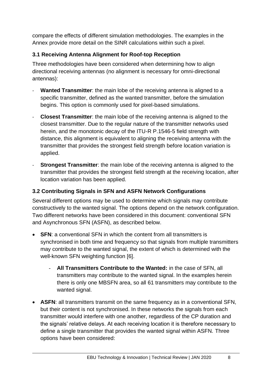compare the effects of different simulation methodologies. The examples in the Annex provide more detail on the SINR calculations within such a pixel.

## **3.1 Receiving Antenna Alignment for Roof-top Reception**

Three methodologies have been considered when determining how to align directional receiving antennas (no alignment is necessary for omni-directional antennas):

- **Wanted Transmitter**: the main lobe of the receiving antenna is aligned to a specific transmitter, defined as the wanted transmitter, before the simulation begins. This option is commonly used for pixel-based simulations.
- **Closest Transmitter**: the main lobe of the receiving antenna is aligned to the closest transmitter. Due to the regular nature of the transmitter networks used herein, and the monotonic decay of the ITU-R P.1546-5 field strength with distance, this alignment is equivalent to aligning the receiving antenna with the transmitter that provides the strongest field strength before location variation is applied.
- **Strongest Transmitter:** the main lobe of the receiving antenna is aligned to the transmitter that provides the strongest field strength at the receiving location, after location variation has been applied.

## **3.2 Contributing Signals in SFN and ASFN Network Configurations**

Several different options may be used to determine which signals may contribute constructively to the wanted signal. The options depend on the network configuration. Two different networks have been considered in this document: conventional SFN and Asynchronous SFN (ASFN), as described below.

- **SFN**: a conventional SFN in which the content from all transmitters is synchronised in both time and frequency so that signals from multiple transmitters may contribute to the wanted signal, the extent of which is determined with the well-known SFN weighting function [6].
	- **All Transmitters Contribute to the Wanted:** in the case of SFN, all transmitters may contribute to the wanted signal. In the examples herein there is only one MBSFN area, so all 61 transmitters may contribute to the wanted signal.
- **ASFN**: all transmitters transmit on the same frequency as in a conventional SFN, but their content is not synchronised. In these networks the signals from each transmitter would interfere with one another, regardless of the CP duration and the signals' relative delays. At each receiving location it is therefore necessary to define a single transmitter that provides the wanted signal within ASFN. Three options have been considered: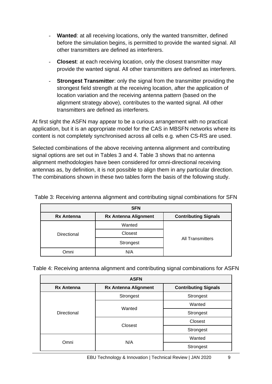- **Wanted:** at all receiving locations, only the wanted transmitter, defined before the simulation begins, is permitted to provide the wanted signal. All other transmitters are defined as interferers.
- **Closest:** at each receiving location, only the closest transmitter may provide the wanted signal. All other transmitters are defined as interferers.
- **Strongest Transmitter:** only the signal from the transmitter providing the strongest field strength at the receiving location, after the application of location variation and the receiving antenna pattern (based on the alignment strategy above), contributes to the wanted signal. All other transmitters are defined as interferers.

At first sight the ASFN may appear to be a curious arrangement with no practical application, but it is an appropriate model for the CAS in MBSFN networks where its content is not completely synchronised across all cells e.g. when CS-RS are used.

Selected combinations of the above receiving antenna alignment and contributing signal options are set out in Tables 3 and 4. Table 3 shows that no antenna alignment methodologies have been considered for omni-directional receiving antennas as, by definition, it is not possible to align them in any particular direction. The combinations shown in these two tables form the basis of the following study.

|                   | <b>SFN</b>                  |                             |
|-------------------|-----------------------------|-----------------------------|
| <b>Rx Antenna</b> | <b>Rx Antenna Alignment</b> | <b>Contributing Signals</b> |
|                   | Wanted                      |                             |
| Directional       | Closest                     |                             |
|                   | Strongest                   | <b>All Transmitters</b>     |
| Omni              | N/A                         |                             |

Table 3: Receiving antenna alignment and contributing signal combinations for SFN

Table 4: Receiving antenna alignment and contributing signal combinations for ASFN

|                   | <b>ASFN</b>                 |                             |  |  |
|-------------------|-----------------------------|-----------------------------|--|--|
| <b>Rx Antenna</b> | <b>Rx Antenna Alignment</b> | <b>Contributing Signals</b> |  |  |
|                   | Strongest                   | Strongest                   |  |  |
|                   | Wanted                      | Wanted                      |  |  |
| Directional       |                             | Strongest                   |  |  |
|                   |                             | Closest                     |  |  |
|                   | Closest                     | Strongest                   |  |  |
| Omni              | N/A                         | Wanted                      |  |  |
|                   |                             | Strongest                   |  |  |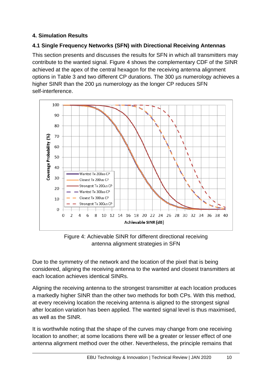## **4. Simulation Results**

## **4.1 Single Frequency Networks (SFN) with Directional Receiving Antennas**

This section presents and discusses the results for SFN in which all transmitters may contribute to the wanted signal. Figure 4 shows the complementary CDF of the SINR achieved at the apex of the central hexagon for the receiving antenna alignment options in Table 3 and two different CP durations. The 300 µs numerology achieves a higher SINR than the 200 us numerology as the longer CP reduces SFN self-interference.



Figure 4: Achievable SINR for different directional receiving antenna alignment strategies in SFN

Due to the symmetry of the network and the location of the pixel that is being considered, aligning the receiving antenna to the wanted and closest transmitters at each location achieves identical SINRs.

Aligning the receiving antenna to the strongest transmitter at each location produces a markedly higher SINR than the other two methods for both CPs. With this method, at every receiving location the receiving antenna is aligned to the strongest signal after location variation has been applied. The wanted signal level is thus maximised, as well as the SINR.

It is worthwhile noting that the shape of the curves may change from one receiving location to another; at some locations there will be a greater or lesser effect of one antenna alignment method over the other. Nevertheless, the principle remains that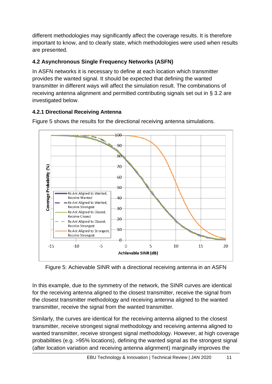different methodologies may significantly affect the coverage results. It is therefore important to know, and to clearly state, which methodologies were used when results are presented.

# **4.2 Asynchronous Single Frequency Networks (ASFN)**

In ASFN networks it is necessary to define at each location which transmitter provides the wanted signal. It should be expected that defining the wanted transmitter in different ways will affect the simulation result. The combinations of receiving antenna alignment and permitted contributing signals set out in § 3.2 are investigated below.

## **4.2.1 Directional Receiving Antenna**



Figure 5 shows the results for the directional receiving antenna simulations.

Figure 5: Achievable SINR with a directional receiving antenna in an ASFN

In this example, due to the symmetry of the network, the SINR curves are identical for the receiving antenna aligned to the closest transmitter, receive the signal from the closest transmitter methodology and receiving antenna aligned to the wanted transmitter, receive the signal from the wanted transmitter.

Similarly, the curves are identical for the receiving antenna aligned to the closest transmitter, receive strongest signal methodology and receiving antenna aligned to wanted transmitter, receive strongest signal methodology. However, at high coverage probabilities (e.g. >95% locations), defining the wanted signal as the strongest signal (after location variation and receiving antenna alignment) marginally improves the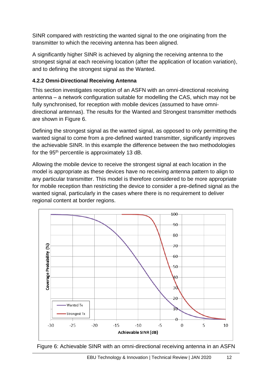SINR compared with restricting the wanted signal to the one originating from the transmitter to which the receiving antenna has been aligned.

A significantly higher SINR is achieved by aligning the receiving antenna to the strongest signal at each receiving location (after the application of location variation), and to defining the strongest signal as the Wanted.

#### **4.2.2 Omni-Directional Receiving Antenna**

This section investigates reception of an ASFN with an omni-directional receiving antenna – a network configuration suitable for modelling the CAS, which may not be fully synchronised, for reception with mobile devices (assumed to have omnidirectional antennas). The results for the Wanted and Strongest transmitter methods are shown in Figure 6.

Defining the strongest signal as the wanted signal, as opposed to only permitting the wanted signal to come from a pre-defined wanted transmitter, significantly improves the achievable SINR. In this example the difference between the two methodologies for the 95th percentile is approximately 13 dB.

Allowing the mobile device to receive the strongest signal at each location in the model is appropriate as these devices have no receiving antenna pattern to align to any particular transmitter. This model is therefore considered to be more appropriate for mobile reception than restricting the device to consider a pre-defined signal as the wanted signal, particularly in the cases where there is no requirement to deliver regional content at border regions.



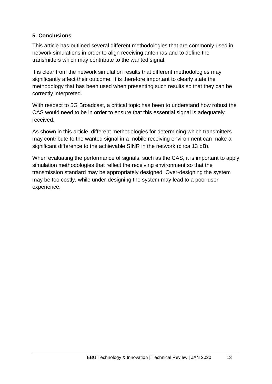#### **5. Conclusions**

This article has outlined several different methodologies that are commonly used in network simulations in order to align receiving antennas and to define the transmitters which may contribute to the wanted signal.

It is clear from the network simulation results that different methodologies may significantly affect their outcome. It is therefore important to clearly state the methodology that has been used when presenting such results so that they can be correctly interpreted.

With respect to 5G Broadcast, a critical topic has been to understand how robust the CAS would need to be in order to ensure that this essential signal is adequately received.

As shown in this article, different methodologies for determining which transmitters may contribute to the wanted signal in a mobile receiving environment can make a significant difference to the achievable SINR in the network (circa 13 dB).

When evaluating the performance of signals, such as the CAS, it is important to apply simulation methodologies that reflect the receiving environment so that the transmission standard may be appropriately designed. Over-designing the system may be too costly, while under-designing the system may lead to a poor user experience.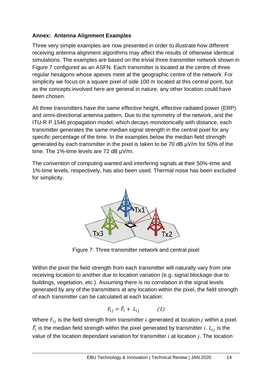#### **Annex: Antenna Alignment Examples**

Three very simple examples are now presented in order to illustrate how different receiving antenna alignment algorithms may affect the results of otherwise identical simulations. The examples are based on the trivial three transmitter network shown in Figure 7 configured as an ASFN. Each transmitter is located at the centre of three regular hexagons whose apexes meet at the geographic centre of the network. For simplicity we focus on a square pixel of side 100 m located at this central point, but as the concepts involved here are general in nature, any other location could have been chosen.

All three transmitters have the same effective height, effective radiated power (ERP) and omni-directional antenna pattern. Due to the symmetry of the network, and the ITU-R P.1546 propagation model, which decays monotonically with distance, each transmitter generates the same median signal strength in the central pixel for any specific percentage of the time. In the examples below the median field strength generated by each transmitter in the pixel is taken to be 70 dB µV/m for 50% of the time. The 1%-time levels are 72 dB  $\mu$ V/m.

The convention of computing wanted and interfering signals at their 50%-time and 1%-time levels, respectively, has also been used. Thermal noise has been excluded for simplicity.



Figure 7: Three transmitter network and central pixel

Within the pixel the field strength from each transmitter will naturally vary from one receiving location to another due to location variation (e.g. signal blockage due to buildings, vegetation, etc.). Assuming there is no correlation in the signal levels generated by any of the transmitters at any location within the pixel, the field strength of each transmitter can be calculated at each location:

$$
F_{ij} = \tilde{F}_i + L_{ij} \tag{1}
$$

Where  $F_{ij}$  is the field strength from transmitter  $i$  generated at location  $j$  within a pixel.  $\tilde{F}_i$  is the median field strength within the pixel generated by transmitter  $i$ .  $L_{ij}$  is the value of the location dependant variation for transmitter  $i$  at location  $j$ . The location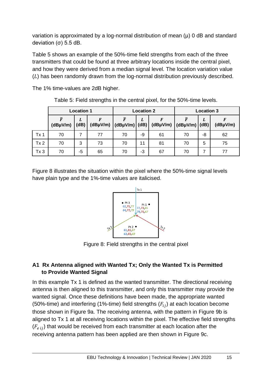variation is approximated by a log-normal distribution of mean  $(\mu)$  0 dB and standard deviation (σ) 5.5 dB.

Table 5 shows an example of the 50%-time field strengths from each of the three transmitters that could be found at three arbitrary locations inside the central pixel, and how they were derived from a median signal level. The location variation value  $(L)$  has been randomly drawn from the log-normal distribution previously described.

The 1% time-values are 2dB higher.

|                 | <b>Location 1</b> |           |          | <b>Location 2</b>                     |    | <b>Location 3</b> |                                    |    |          |
|-----------------|-------------------|-----------|----------|---------------------------------------|----|-------------------|------------------------------------|----|----------|
|                 | $(dB\mu V/m)$     | L<br>(dB) | (dBµV/m) | $\vert$ (dBµV/m) $\vert$ (dB) $\vert$ | L  | F                 | $(dB\mu V/m)$ $(dB\mu V/m)$ $(dB)$ | L  | (dBµV/m) |
| Tx <sub>1</sub> | 70                |           | 77       | 70                                    | -9 | 61                | 70                                 | -8 | 62       |
| Tx <sub>2</sub> | 70                | 3         | 73       | 70                                    | 11 | 81                | 70                                 | 5  | 75       |
| Tx <sub>3</sub> | 70                | -5        | 65       | 70                                    | -3 | 67                | 70                                 |    | 77       |

Table 5: Field strengths in the central pixel, for the 50%-time levels.

Figure 8 illustrates the situation within the pixel where the 50%-time signal levels have plain type and the 1%-time values are italicised.



Figure 8: Field strengths in the central pixel

## **A1 Rx Antenna aligned with Wanted Tx; Only the Wanted Tx is Permitted to Provide Wanted Signal**

In this example Tx 1 is defined as the wanted transmitter. The directional receiving antenna is then aligned to this transmitter, and only this transmitter may provide the wanted signal. Once these definitions have been made, the appropriate wanted (50%-time) and interfering (1%-time) field strengths  $(F_{ij})$  at each location become those shown in Figure 9a. The receiving antenna, with the pattern in Figure 9b is aligned to Tx 1 at all receiving locations within the pixel. The effective field strengths  $(F_{e i})$  that would be received from each transmitter at each location after the receiving antenna pattern has been applied are then shown in Figure 9c.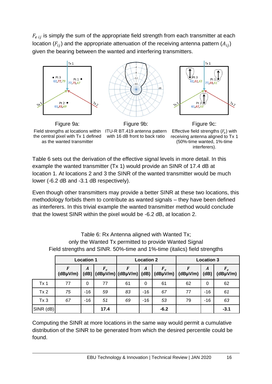$F_{e i j}$  is simply the sum of the appropriate field strength from each transmitter at each location  $(F_{ii})$  and the appropriate attenuation of the receiving antenna pattern  $(A_{ii})$ given the bearing between the wanted and interfering transmitters.



Field strengths at locations within ITU-R BT.419 antenna pattern the central pixel with Tx 1 defined as the wanted transmitter

with 16 dB front to back ratio

Effective field strengths  $(F_e)$  with receiving antenna aligned to Tx 1 (50%-time wanted, 1%-time interferers).

Table 6 sets out the derivation of the effective signal levels in more detail. In this example the wanted transmitter (Tx 1) would provide an SINR of 17.4 dB at location 1. At locations 2 and 3 the SINR of the wanted transmitter would be much lower (-6.2 dB and -3.1 dB respectively).

Even though other transmitters may provide a better SINR at these two locations, this methodology forbids them to contribute as wanted signals – they have been defined as interferers. In this trivial example the wanted transmitter method would conclude that the lowest SINR within the pixel would be -6.2 dB, at location 2.

| Field strengths and SINR. 50%-time and 1%-time (italics) field strengths |                   |                  |                   |    |          |                                                                               |               |           |                        |  |
|--------------------------------------------------------------------------|-------------------|------------------|-------------------|----|----------|-------------------------------------------------------------------------------|---------------|-----------|------------------------|--|
|                                                                          | <b>Location 1</b> |                  | <b>Location 2</b> |    |          | <b>Location 3</b>                                                             |               |           |                        |  |
|                                                                          | $(dB\mu V/m)$     | $\boldsymbol{A}$ | $F_e$             | F  | A        | $F_e$<br>(dB) $\vert$ (dBµV/m) $\vert$ (dBµV/m) $\vert$ (dB) $\vert$ (dBµV/m) | $(dB\mu V/m)$ | A<br>(dB) | $F_e$<br>$(dB\mu V/m)$ |  |
| Tx <sub>1</sub>                                                          | 77                | 0                | 77                | 61 | $\Omega$ | 61                                                                            | 62            | $\Omega$  | 62                     |  |
| Tx 2                                                                     | 75                | $-16$            | 59                | 83 | $-16$    | 67                                                                            | 77            | $-16$     | 61                     |  |
| Tx <sub>3</sub>                                                          | 67                | $-16$            | 51                | 69 | $-16$    | 53                                                                            | 79            | $-16$     | 63                     |  |
| SINR (dB)                                                                |                   |                  | 17.4              |    |          | $-6.2$                                                                        |               |           | $-3.1$                 |  |

Table 6: Rx Antenna aligned with Wanted Tx; only the Wanted Tx permitted to provide Wanted Signal

Computing the SINR at more locations in the same way would permit a cumulative distribution of the SINR to be generated from which the desired percentile could be found.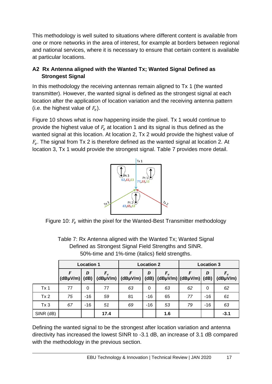This methodology is well suited to situations where different content is available from one or more networks in the area of interest, for example at borders between regional and national services, where it is necessary to ensure that certain content is available at particular locations.

## **A2 Rx Antenna aligned with the Wanted Tx; Wanted Signal Defined as Strongest Signal**

In this methodology the receiving antennas remain aligned to Tx 1 (the wanted transmitter). However, the wanted signal is defined as the strongest signal at each location after the application of location variation and the receiving antenna pattern (i.e. the highest value of  $F_e$ ).

Figure 10 shows what is now happening inside the pixel. Tx 1 would continue to provide the highest value of  $F_e$  at location 1 and its signal is thus defined as the wanted signal at this location. At location 2, Tx 2 would provide the highest value of  $F_e$ . The signal from Tx 2 is therefore defined as the wanted signal at location 2. At location 3, Tx 1 would provide the strongest signal. Table 7 provides more detail.



Figure 10:  $F_e$  within the pixel for the Wanted-Best Transmitter methodology

|                 | <b>Location 1</b> |           |       | <b>Location 2</b>                                                     |       |       | <b>Location 3</b> |       |                        |
|-----------------|-------------------|-----------|-------|-----------------------------------------------------------------------|-------|-------|-------------------|-------|------------------------|
|                 | $(dB\mu V/m)$     | D<br>(dB) | $F_e$ | $(dB\mu V/m)$ $(dB\mu V/m)$ $(dB)$ $(dB\mu V/m)$ $(dB\mu V/m)$ $(dB)$ | D     | $F_e$ | F                 | D     | $F_e$<br>$(dB\mu V/m)$ |
| Tx <sub>1</sub> | 77                | 0         | 77    | 63                                                                    | 0     | 63    | 62                | 0     | 62                     |
| Tx 2            | 75                | $-16$     | 59    | 81                                                                    | $-16$ | 65    | 77                | $-16$ | 61                     |
| Tx <sub>3</sub> | 67                | $-16$     | 51    | 69                                                                    | $-16$ | 53    | 79                | $-16$ | 63                     |
| SINR (dB)       |                   |           | 17.4  |                                                                       |       | 1.6   |                   |       | $-3.1$                 |

Table 7: Rx Antenna aligned with the Wanted Tx; Wanted Signal Defined as Strongest Signal Field Strengths and SINR. 50%-time and 1%-time (italics) field strengths.

Defining the wanted signal to be the strongest after location variation and antenna directivity has increased the lowest SINR to -3.1 dB, an increase of 3.1 dB compared with the methodology in the previous section.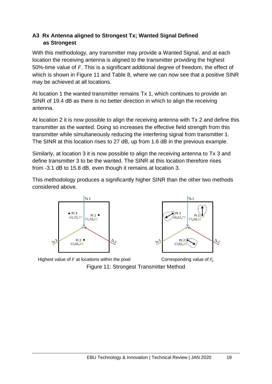#### **A3 Rx Antenna aligned to Strongest Tx; Wanted Signal Defined as Strongest**

With this methodology, any transmitter may provide a Wanted Signal, and at each location the receiving antenna is aligned to the transmitter providing the highest 50%-time value of  $F$ . This is a significant additional degree of freedom, the effect of which is shown in Figure 11 and Table 8, where we can now see that a positive SINR may be achieved at all locations.

At location 1 the wanted transmitter remains Tx 1, which continues to provide an SINR of 19.4 dB as there is no better direction in which to align the receiving antenna.

At location 2 it is now possible to align the receiving antenna with Tx 2 and define this transmitter as the wanted. Doing so increases the effective field strength from this transmitter while simultaneously reducing the interfering signal from transmitter 1. The SINR at this location rises to 27 dB, up from 1.6 dB in the previous example.

Similarly, at location 3 it is now possible to align the receiving antenna to Tx 3 and define transmitter 3 to be the wanted. The SINR at this location therefore rises from -3.1 dB to 15.8 dB, even though it remains at location 3.

This methodology produces a significantly higher SINR than the other two methods considered above.





Highest value of  $F$  at locations within the pixel  $\qquad \qquad \qquad$  Corresponding value of  $F_e$ Figure 11: Strongest Transmitter Method